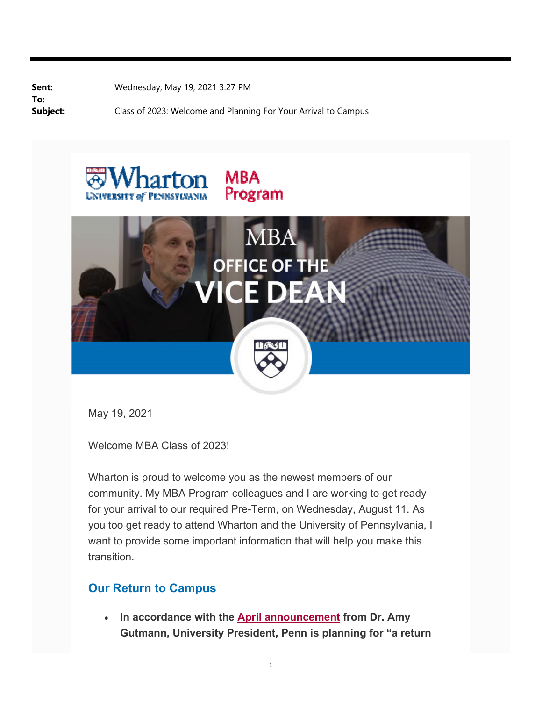**To:**

**Sent:** Wednesday, May 19, 2021 3:27 PM

**Subject:** Class of 2023: Welcome and Planning For Your Arrival to Campus





May 19, 2021

Welcome MBA Class of 2023!

Wharton is proud to welcome you as the newest members of our community. My MBA Program colleagues and I are working to get ready for your arrival to our required Pre-Term, on Wednesday, August 11. As you too get ready to attend Wharton and the University of Pennsylvania, I want to provide some important information that will help you make this transition.

## **Our Return to Campus**

 **In accordance with the April announcement from Dr. Amy Gutmann, University President, Penn is planning for "a return**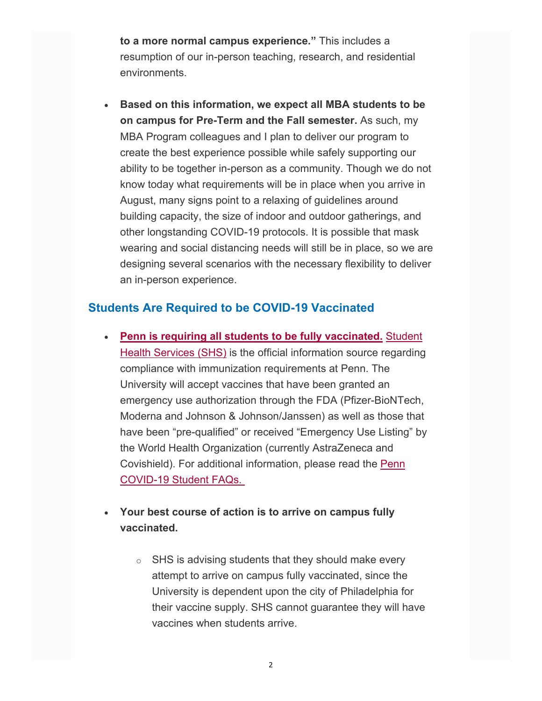**to a more normal campus experience."** This includes a resumption of our in-person teaching, research, and residential environments.

 **Based on this information, we expect all MBA students to be on campus for Pre-Term and the Fall semester.** As such, my MBA Program colleagues and I plan to deliver our program to create the best experience possible while safely supporting our ability to be together in-person as a community. Though we do not know today what requirements will be in place when you arrive in August, many signs point to a relaxing of guidelines around building capacity, the size of indoor and outdoor gatherings, and other longstanding COVID-19 protocols. It is possible that mask wearing and social distancing needs will still be in place, so we are designing several scenarios with the necessary flexibility to deliver an in-person experience.

## **Students Are Required to be COVID-19 Vaccinated**

- **Penn is requiring all students to be fully vaccinated.** Student Health Services (SHS) is the official information source regarding compliance with immunization requirements at Penn. The University will accept vaccines that have been granted an emergency use authorization through the FDA (Pfizer-BioNTech, Moderna and Johnson & Johnson/Janssen) as well as those that have been "pre-qualified" or received "Emergency Use Listing" by the World Health Organization (currently AstraZeneca and Covishield). For additional information, please read the Penn COVID-19 Student FAQs.
- **Your best course of action is to arrive on campus fully vaccinated.** 
	- $\circ$  SHS is advising students that they should make every attempt to arrive on campus fully vaccinated, since the University is dependent upon the city of Philadelphia for their vaccine supply. SHS cannot guarantee they will have vaccines when students arrive.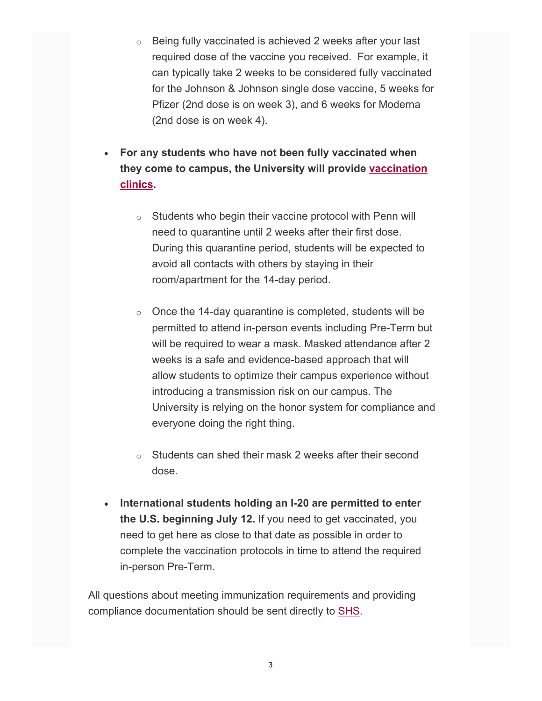- $\circ$  Being fully vaccinated is achieved 2 weeks after your last required dose of the vaccine you received. For example, it can typically take 2 weeks to be considered fully vaccinated for the Johnson & Johnson single dose vaccine, 5 weeks for Pfizer (2nd dose is on week 3), and 6 weeks for Moderna (2nd dose is on week 4).
- **For any students who have not been fully vaccinated when they come to campus, the University will provide vaccination clinics.** 
	- $\circ$  Students who begin their vaccine protocol with Penn will need to quarantine until 2 weeks after their first dose. During this quarantine period, students will be expected to avoid all contacts with others by staying in their room/apartment for the 14-day period.
	- $\circ$  Once the 14-day quarantine is completed, students will be permitted to attend in-person events including Pre-Term but will be required to wear a mask. Masked attendance after 2 weeks is a safe and evidence-based approach that will allow students to optimize their campus experience without introducing a transmission risk on our campus. The University is relying on the honor system for compliance and everyone doing the right thing.
	- o Students can shed their mask 2 weeks after their second dose.
- **International students holding an I-20 are permitted to enter the U.S. beginning July 12.** If you need to get vaccinated, you need to get here as close to that date as possible in order to complete the vaccination protocols in time to attend the required in-person Pre-Term.

All questions about meeting immunization requirements and providing compliance documentation should be sent directly to SHS.